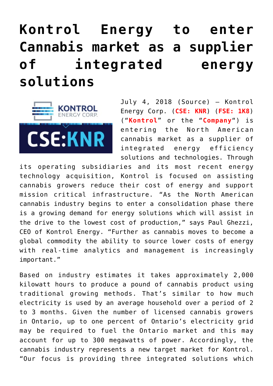## **[Kontrol Energy to enter](https://investorintel.com/markets/technology/technology-news/kontrol-energy-enter-cannabis-market-supplier-integrated-energy-solutions/) [Cannabis market as a supplier](https://investorintel.com/markets/technology/technology-news/kontrol-energy-enter-cannabis-market-supplier-integrated-energy-solutions/) [of integrated energy](https://investorintel.com/markets/technology/technology-news/kontrol-energy-enter-cannabis-market-supplier-integrated-energy-solutions/) [solutions](https://investorintel.com/markets/technology/technology-news/kontrol-energy-enter-cannabis-market-supplier-integrated-energy-solutions/)**



July 4, 2018 ([Source](https://investorintel.com/iintel-members/kontrol-energy-corp/)) — Kontrol Energy Corp. (**CSE: KNR**) (**FSE: 1K8**) ("**Kontrol**" or the "**Company**") is entering the North American cannabis market as a supplier of integrated energy efficiency solutions and technologies. Through

its operating subsidiaries and its most recent energy technology acquisition, Kontrol is focused on assisting cannabis growers reduce their cost of energy and support mission critical infrastructure. "As the North American cannabis industry begins to enter a consolidation phase there is a growing demand for energy solutions which will assist in the drive to the lowest cost of production," says Paul Ghezzi, CEO of Kontrol Energy. "Further as cannabis moves to become a global commodity the ability to source lower costs of energy with real-time analytics and management is increasingly important."

Based on industry estimates it takes approximately 2,000 kilowatt hours to produce a pound of cannabis product using traditional growing methods. That's similar to how much electricity is used by an average household over a period of 2 to 3 months. Given the number of licensed cannabis growers in Ontario, up to one percent of Ontario's electricity grid may be required to fuel the Ontario market and this may account for up to 300 megawatts of power. Accordingly, the cannabis industry represents a new target market for Kontrol. "Our focus is providing three integrated solutions which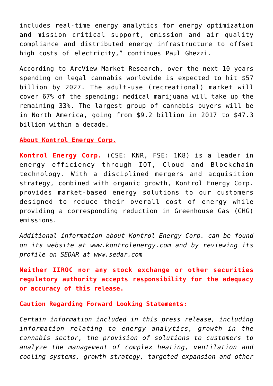includes real-time energy analytics for energy optimization and mission critical support, emission and air quality compliance and distributed energy infrastructure to offset high costs of electricity," continues Paul Ghezzi.

According to ArcView Market Research, over the next 10 years spending on legal cannabis worldwide is expected to hit \$57 billion by 2027. The adult-use (recreational) market will cover 67% of the spending; medical marijuana will take up the remaining 33%. The largest group of cannabis buyers will be in North America, going from \$9.2 billion in 2017 to \$47.3 billion within a decade.

## **About Kontrol Energy Corp.**

**Kontrol Energy Corp.** (CSE: KNR, FSE: 1K8) is a leader in energy efficiency through IOT, Cloud and Blockchain technology. With a disciplined mergers and acquisition strategy, combined with organic growth, Kontrol Energy Corp. provides market-based energy solutions to our customers designed to reduce their overall cost of energy while providing a corresponding reduction in Greenhouse Gas (GHG) emissions.

*Additional information about Kontrol Energy Corp. can be found on its website at [www.kontrolenergy.com](http://www.kontrolenergy.com/) and by reviewing its profile on SEDAR at [www.sedar.com](http://www.sedar.com/)*

**Neither IIROC nor any stock exchange or other securities regulatory authority accepts responsibility for the adequacy or accuracy of this release.**

**Caution Regarding Forward Looking Statements:**

*Certain information included in this press release, including information relating to energy analytics, growth in the cannabis sector, the provision of solutions to customers to analyze the management of complex heating, ventilation and cooling systems, growth strategy, targeted expansion and other*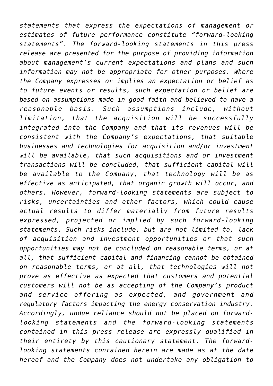*statements that express the expectations of management or estimates of future performance constitute "forward-looking statements". The forward-looking statements in this press release are presented for the purpose of providing information about management's current expectations and plans and such information may not be appropriate for other purposes. Where the Company expresses or implies an expectation or belief as to future events or results, such expectation or belief are based on assumptions made in good faith and believed to have a reasonable basis. Such assumptions include, without limitation, that the acquisition will be successfully integrated into the Company and that its revenues will be consistent with the Company's expectations, that suitable businesses and technologies for acquisition and/or investment will be available, that such acquisitions and or investment transactions will be concluded, that sufficient capital will be available to the Company, that technology will be as effective as anticipated, that organic growth will occur, and others. However, forward-looking statements are subject to risks, uncertainties and other factors, which could cause actual results to differ materially from future results expressed, projected or implied by such forward-looking statements. Such risks include, but are not limited to, lack of acquisition and investment opportunities or that such opportunities may not be concluded on reasonable terms, or at all, that sufficient capital and financing cannot be obtained on reasonable terms, or at all, that technologies will not prove as effective as expected that customers and potential customers will not be as accepting of the Company's product and service offering as expected, and government and regulatory factors impacting the energy conservation industry. Accordingly, undue reliance should not be placed on forwardlooking statements and the forward-looking statements contained in this press release are expressly qualified in their entirety by this cautionary statement. The forwardlooking statements contained herein are made as at the date hereof and the Company does not undertake any obligation to*